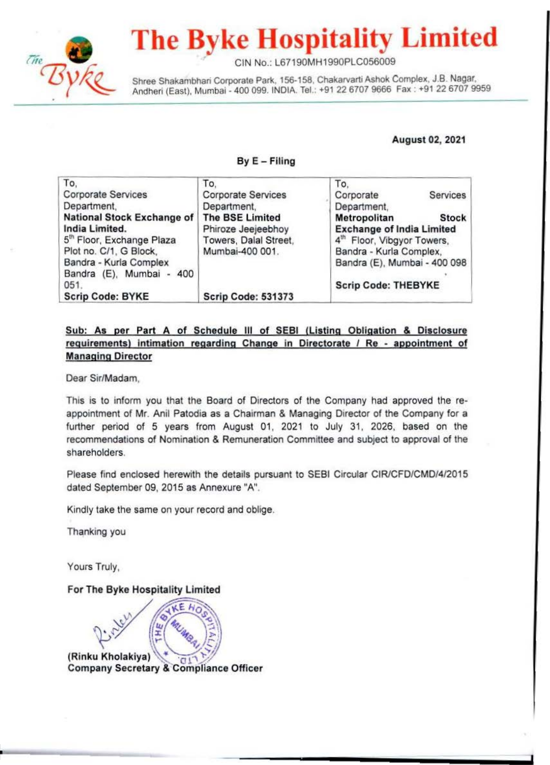

# **The Byke Hospitality Limited**

CIN No.: L67190MH1990PLC056009

Shree Shakambhari Corporate Park, 156-158, Chakarvarti Ashok Complex, J.B. Nagar, Andheri (East). Mumbai - 400 099. INDIA. Tel.: +91 22 6707 9666 Fax : +91 22 6707 9959

#### August 02, 2021

#### ByE- Filing

| To.                                   | To.                       | To.                              |  |
|---------------------------------------|---------------------------|----------------------------------|--|
| <b>Corporate Services</b>             | <b>Corporate Services</b> | Services<br>Corporate            |  |
| Department,                           | Department,               | Department,                      |  |
| National Stock Exchange of            | <b>The BSE Limited</b>    | Metropolitan<br><b>Stock</b>     |  |
| India Limited.                        | Phiroze Jeejeebhoy        | <b>Exchange of India Limited</b> |  |
| 5 <sup>th</sup> Floor, Exchange Plaza | Towers, Dalal Street,     | 4th Floor, Vibgyor Towers,       |  |
| Plot no. C/1, G Block,                | Mumbai-400 001.           | Bandra - Kurla Complex,          |  |
| Bandra - Kurla Complex                |                           | Bandra (E), Mumbai - 400 098     |  |
| Bandra (E), Mumbai - 400              |                           |                                  |  |
| 051.                                  |                           | <b>Scrip Code: THEBYKE</b>       |  |
| <b>Scrip Code: BYKE</b>               | <b>Scrip Code: 531373</b> |                                  |  |

#### Sub: As per Part A of Schedule Ill of SEBI (Listing Obligation & Disclosure requirements) intimation regarding Change in Directorate / Re - appointment of Managing Director

Dear Sir/Madam,

This is to inform you that the Board of Directors of the Company had approved the reappointment of Mr. Anil Patodia as a Chairman & Managing Director of the Company for a further period of 5 years from August 01, 2021 to July 31, 2026, based on the recommendations of Nomination & Remuneration Committee and subject to approval of the shareholders.

Please find enclosed herewith the details pursuant to SEBI Circular CJR/CFD/CMD/4/2015 dated September 09, 2015 as Annexure "A".

Kindly take the same on your record and oblige.

Thanking you

Yours Truly,

For The Byke Hospitality Limited

(Rinku Kholakiya)  $\mathbf{a}$ **Company Secretary & Compliance Officer**